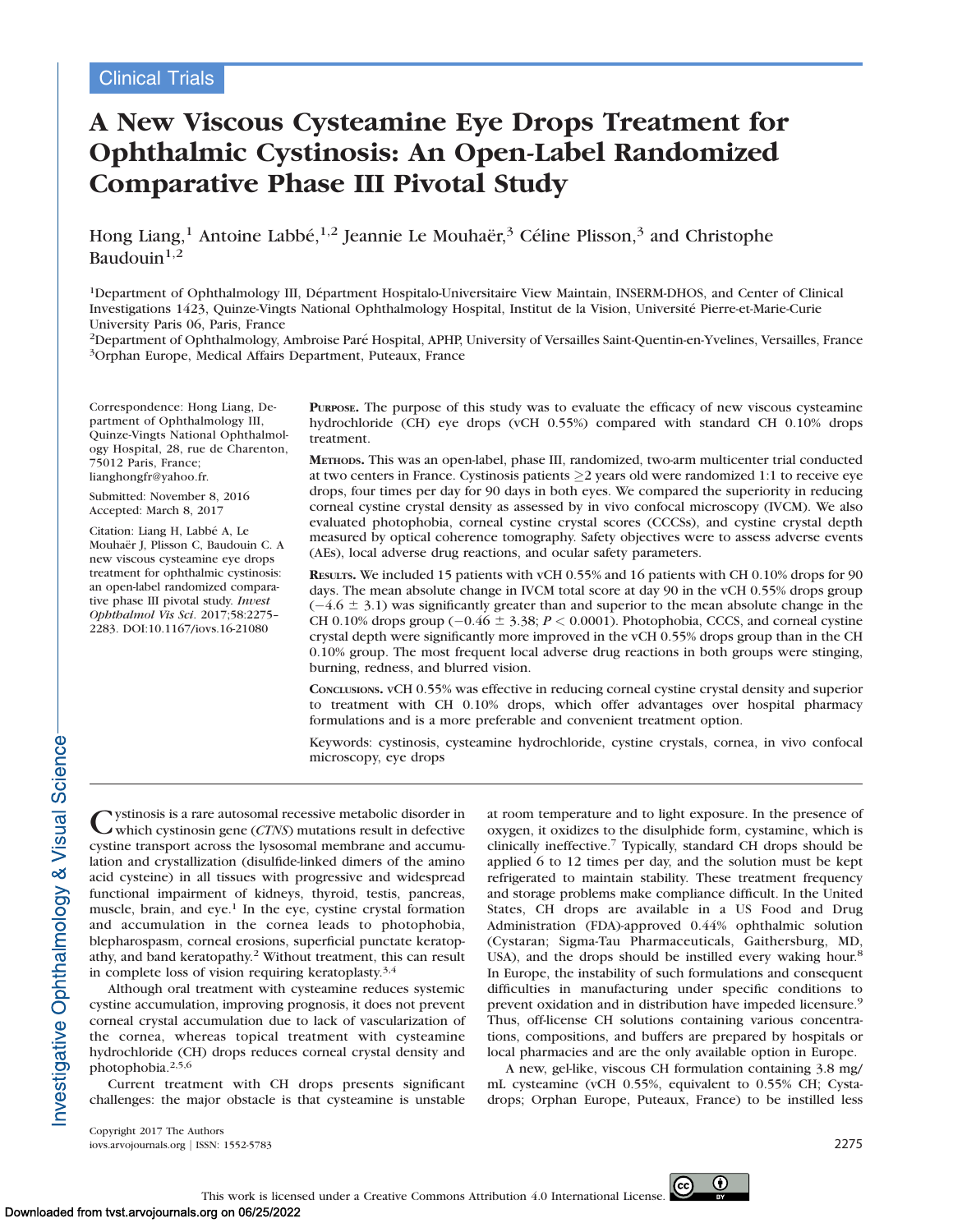# A New Viscous Cysteamine Eye Drops Treatment for Ophthalmic Cystinosis: An Open-Label Randomized Comparative Phase III Pivotal Study

Hong Liang,<sup>1</sup> Antoine Labbé, <sup>1,2</sup> Jeannie Le Mouhaër,<sup>3</sup> Céline Plisson,<sup>3</sup> and Christophe Baudouin $1,2$ 

<sup>1</sup>Department of Ophthalmology III, Départment Hospitalo-Universitaire View Maintain, INSERM-DHOS, and Center of Clinical Investigations 1423, Quinze-Vingts National Ophthalmology Hospital, Institut de la Vision, Universite Pierre-et-Marie-Curie ´ University Paris 06, Paris, France

<sup>2</sup>Department of Ophthalmology, Ambroise Paré Hospital, APHP, University of Versailles Saint-Quentin-en-Yvelines, Versailles, France <sup>3</sup>Orphan Europe, Medical Affairs Department, Puteaux, France

Correspondence: Hong Liang, Department of Ophthalmology III, Quinze-Vingts National Ophthalmology Hospital, 28, rue de Charenton, 75012 Paris, France; lianghongfr@yahoo.fr.

Submitted: November 8, 2016 Accepted: March 8, 2017

Citation: Liang H, Labbé A, Le Mouhaër J, Plisson C, Baudouin C. A new viscous cysteamine eye drops treatment for ophthalmic cystinosis: an open-label randomized comparative phase III pivotal study. Invest Ophthalmol Vis Sci. 2017;58:2275– 2283. DOI:10.1167/iovs.16-21080

PURPOSE. The purpose of this study was to evaluate the efficacy of new viscous cysteamine hydrochloride (CH) eye drops (vCH 0.55%) compared with standard CH 0.10% drops treatment.

METHODS. This was an open-label, phase III, randomized, two-arm multicenter trial conducted at two centers in France. Cystinosis patients  $\geq$  years old were randomized 1:1 to receive eye drops, four times per day for 90 days in both eyes. We compared the superiority in reducing corneal cystine crystal density as assessed by in vivo confocal microscopy (IVCM). We also evaluated photophobia, corneal cystine crystal scores (CCCSs), and cystine crystal depth measured by optical coherence tomography. Safety objectives were to assess adverse events (AEs), local adverse drug reactions, and ocular safety parameters.

RESULTS. We included 15 patients with vCH 0.55% and 16 patients with CH 0.10% drops for 90 days. The mean absolute change in IVCM total score at day 90 in the vCH 0.55% drops group  $(-4.6 \pm 3.1)$  was significantly greater than and superior to the mean absolute change in the CH 0.10% drops group  $(-0.46 \pm 3.38; P < 0.0001)$ . Photophobia, CCCS, and corneal cystine crystal depth were significantly more improved in the vCH 0.55% drops group than in the CH 0.10% group. The most frequent local adverse drug reactions in both groups were stinging, burning, redness, and blurred vision.

CONCLUSIONS. vCH 0.55% was effective in reducing corneal cystine crystal density and superior to treatment with CH 0.10% drops, which offer advantages over hospital pharmacy formulations and is a more preferable and convenient treatment option.

Keywords: cystinosis, cysteamine hydrochloride, cystine crystals, cornea, in vivo confocal microscopy, eye drops

Cystinosis is a rare autosomal recessive metabolic disorder in which cystinosin gene (CTNS) mutations result in defective cystine transport across the lysosomal membrane and accumulation and crystallization (disulfide-linked dimers of the amino acid cysteine) in all tissues with progressive and widespread functional impairment of kidneys, thyroid, testis, pancreas, muscle, brain, and eye.<sup>1</sup> In the eye, cystine crystal formation and accumulation in the cornea leads to photophobia, blepharospasm, corneal erosions, superficial punctate keratopathy, and band keratopathy.2 Without treatment, this can result in complete loss of vision requiring keratoplasty.<sup>3,4</sup>

Although oral treatment with cysteamine reduces systemic cystine accumulation, improving prognosis, it does not prevent corneal crystal accumulation due to lack of vascularization of the cornea, whereas topical treatment with cysteamine hydrochloride (CH) drops reduces corneal crystal density and photophobia.2,5,6

Current treatment with CH drops presents significant challenges: the major obstacle is that cysteamine is unstable at room temperature and to light exposure. In the presence of oxygen, it oxidizes to the disulphide form, cystamine, which is clinically ineffective.<sup>7</sup> Typically, standard CH drops should be applied 6 to 12 times per day, and the solution must be kept refrigerated to maintain stability. These treatment frequency and storage problems make compliance difficult. In the United States, CH drops are available in a US Food and Drug Administration (FDA)-approved 0.44% ophthalmic solution (Cystaran; Sigma-Tau Pharmaceuticals, Gaithersburg, MD, USA), and the drops should be instilled every waking hour.<sup>8</sup> In Europe, the instability of such formulations and consequent difficulties in manufacturing under specific conditions to prevent oxidation and in distribution have impeded licensure.<sup>9</sup> Thus, off-license CH solutions containing various concentrations, compositions, and buffers are prepared by hospitals or local pharmacies and are the only available option in Europe.

A new, gel-like, viscous CH formulation containing 3.8 mg/ mL cysteamine (vCH 0.55%, equivalent to 0.55% CH; Cystadrops; Orphan Europe, Puteaux, France) to be instilled less

Copyright 2017 The Authors iovs.arvojournals.org j ISSN: 1552-5783 2275

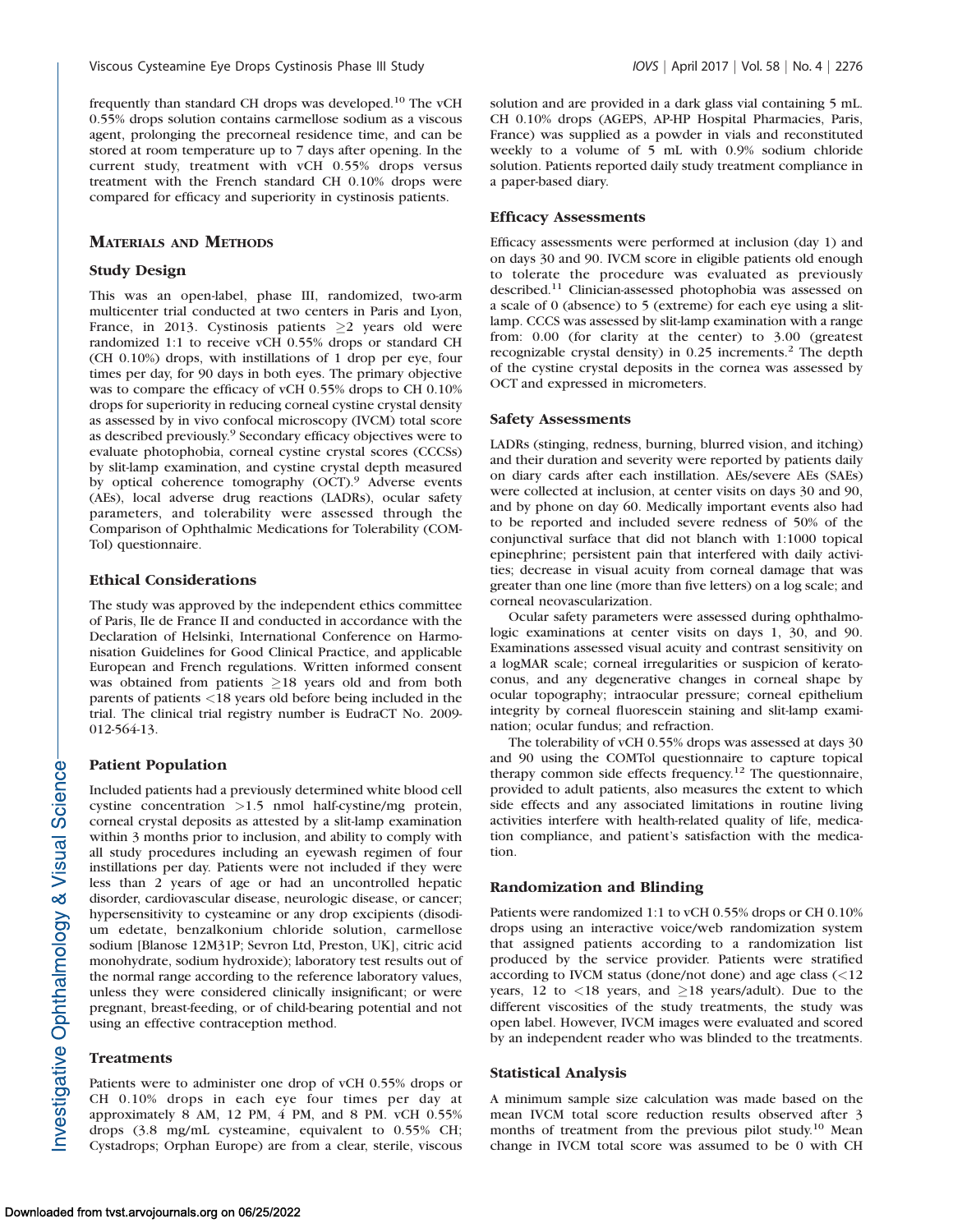frequently than standard CH drops was developed.10 The vCH 0.55% drops solution contains carmellose sodium as a viscous agent, prolonging the precorneal residence time, and can be stored at room temperature up to 7 days after opening. In the current study, treatment with vCH 0.55% drops versus treatment with the French standard CH 0.10% drops were compared for efficacy and superiority in cystinosis patients.

# MATERIALS AND METHODS

## Study Design

This was an open-label, phase III, randomized, two-arm multicenter trial conducted at two centers in Paris and Lyon, France, in 2013. Cystinosis patients  $\geq 2$  years old were randomized 1:1 to receive vCH 0.55% drops or standard CH (CH 0.10%) drops, with instillations of 1 drop per eye, four times per day, for 90 days in both eyes. The primary objective was to compare the efficacy of vCH 0.55% drops to CH 0.10% drops for superiority in reducing corneal cystine crystal density as assessed by in vivo confocal microscopy (IVCM) total score as described previously.9 Secondary efficacy objectives were to evaluate photophobia, corneal cystine crystal scores (CCCSs) by slit-lamp examination, and cystine crystal depth measured by optical coherence tomography (OCT).<sup>9</sup> Adverse events (AEs), local adverse drug reactions (LADRs), ocular safety parameters, and tolerability were assessed through the Comparison of Ophthalmic Medications for Tolerability (COM-Tol) questionnaire.

## Ethical Considerations

The study was approved by the independent ethics committee of Paris, Ile de France II and conducted in accordance with the Declaration of Helsinki, International Conference on Harmonisation Guidelines for Good Clinical Practice, and applicable European and French regulations. Written informed consent was obtained from patients  $\geq$ 18 years old and from both parents of patients <18 years old before being included in the trial. The clinical trial registry number is EudraCT No. 2009- 012-564-13.

## Patient Population

Included patients had a previously determined white blood cell cystine concentration >1.5 nmol half-cystine/mg protein, corneal crystal deposits as attested by a slit-lamp examination within 3 months prior to inclusion, and ability to comply with all study procedures including an eyewash regimen of four instillations per day. Patients were not included if they were less than 2 years of age or had an uncontrolled hepatic disorder, cardiovascular disease, neurologic disease, or cancer; hypersensitivity to cysteamine or any drop excipients (disodium edetate, benzalkonium chloride solution, carmellose sodium [Blanose 12M31P; Sevron Ltd, Preston, UK], citric acid monohydrate, sodium hydroxide); laboratory test results out of the normal range according to the reference laboratory values, unless they were considered clinically insignificant; or were pregnant, breast-feeding, or of child-bearing potential and not using an effective contraception method.

#### **Treatments**

Patients were to administer one drop of vCH 0.55% drops or CH 0.10% drops in each eye four times per day at approximately 8 AM, 12 PM, 4 PM, and 8 PM. vCH 0.55% drops (3.8 mg/mL cysteamine, equivalent to 0.55% CH; Cystadrops; Orphan Europe) are from a clear, sterile, viscous

solution and are provided in a dark glass vial containing 5 mL. CH 0.10% drops (AGEPS, AP-HP Hospital Pharmacies, Paris, France) was supplied as a powder in vials and reconstituted weekly to a volume of 5 mL with 0.9% sodium chloride solution. Patients reported daily study treatment compliance in a paper-based diary.

#### Efficacy Assessments

Efficacy assessments were performed at inclusion (day 1) and on days 30 and 90. IVCM score in eligible patients old enough to tolerate the procedure was evaluated as previously described.<sup>11</sup> Clinician-assessed photophobia was assessed on a scale of 0 (absence) to 5 (extreme) for each eye using a slitlamp. CCCS was assessed by slit-lamp examination with a range from: 0.00 (for clarity at the center) to 3.00 (greatest recognizable crystal density) in 0.25 increments.<sup>2</sup> The depth of the cystine crystal deposits in the cornea was assessed by OCT and expressed in micrometers.

# Safety Assessments

LADRs (stinging, redness, burning, blurred vision, and itching) and their duration and severity were reported by patients daily on diary cards after each instillation. AEs/severe AEs (SAEs) were collected at inclusion, at center visits on days 30 and 90, and by phone on day 60. Medically important events also had to be reported and included severe redness of 50% of the conjunctival surface that did not blanch with 1:1000 topical epinephrine; persistent pain that interfered with daily activities; decrease in visual acuity from corneal damage that was greater than one line (more than five letters) on a log scale; and corneal neovascularization.

Ocular safety parameters were assessed during ophthalmologic examinations at center visits on days 1, 30, and 90. Examinations assessed visual acuity and contrast sensitivity on a logMAR scale; corneal irregularities or suspicion of keratoconus, and any degenerative changes in corneal shape by ocular topography; intraocular pressure; corneal epithelium integrity by corneal fluorescein staining and slit-lamp examination; ocular fundus; and refraction.

The tolerability of vCH 0.55% drops was assessed at days 30 and 90 using the COMTol questionnaire to capture topical therapy common side effects frequency.12 The questionnaire, provided to adult patients, also measures the extent to which side effects and any associated limitations in routine living activities interfere with health-related quality of life, medication compliance, and patient's satisfaction with the medication.

## Randomization and Blinding

Patients were randomized 1:1 to vCH 0.55% drops or CH 0.10% drops using an interactive voice/web randomization system that assigned patients according to a randomization list produced by the service provider. Patients were stratified according to IVCM status (done/not done) and age class (<12 years, 12 to  $\langle 18 \rangle$  years, and  $\geq 18 \rangle$  years/adult). Due to the different viscosities of the study treatments, the study was open label. However, IVCM images were evaluated and scored by an independent reader who was blinded to the treatments.

#### Statistical Analysis

A minimum sample size calculation was made based on the mean IVCM total score reduction results observed after 3 months of treatment from the previous pilot study.10 Mean change in IVCM total score was assumed to be 0 with CH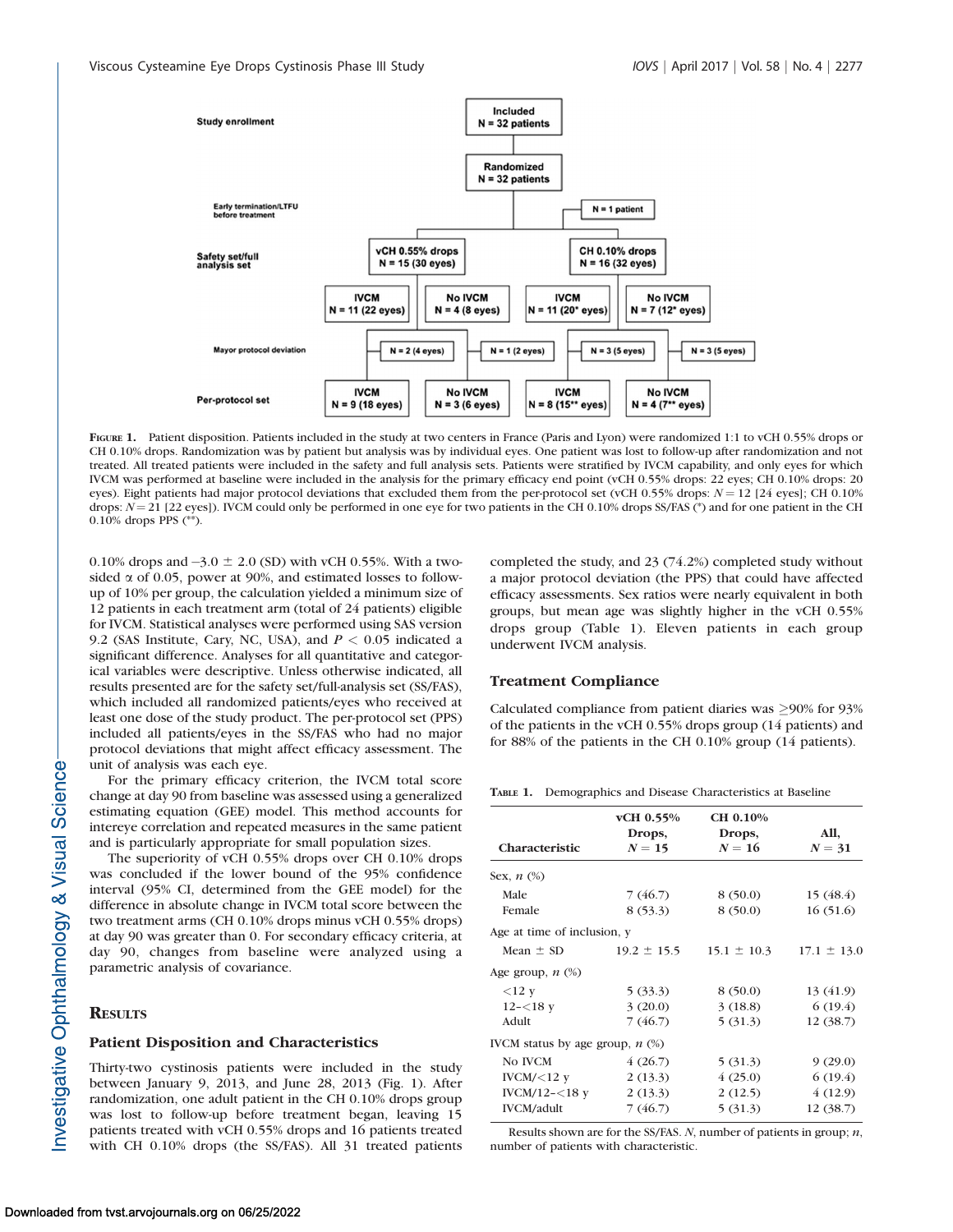

FIGURE 1. Patient disposition. Patients included in the study at two centers in France (Paris and Lyon) were randomized 1:1 to vCH 0.55% drops or CH 0.10% drops. Randomization was by patient but analysis was by individual eyes. One patient was lost to follow-up after randomization and not treated. All treated patients were included in the safety and full analysis sets. Patients were stratified by IVCM capability, and only eyes for which IVCM was performed at baseline were included in the analysis for the primary efficacy end point (vCH 0.55% drops: 22 eyes; CH 0.10% drops: 20 eyes). Eight patients had major protocol deviations that excluded them from the per-protocol set (vCH 0.55% drops:  $N = 12$  [24 eyes]; CH 0.10% drops:  $N = 21$  [22 eyes]). IVCM could only be performed in one eye for two patients in the CH 0.10% drops SS/FAS (\*) and for one patient in the CH 0.10% drops PPS (\*\*).

0.10% drops and  $-3.0 \pm 2.0$  (SD) with vCH 0.55%. With a twosided  $\alpha$  of 0.05, power at 90%, and estimated losses to followup of 10% per group, the calculation yielded a minimum size of 12 patients in each treatment arm (total of 24 patients) eligible for IVCM. Statistical analyses were performed using SAS version 9.2 (SAS Institute, Cary, NC, USA), and  $P < 0.05$  indicated a significant difference. Analyses for all quantitative and categorical variables were descriptive. Unless otherwise indicated, all results presented are for the safety set/full-analysis set (SS/FAS), which included all randomized patients/eyes who received at least one dose of the study product. The per-protocol set (PPS) included all patients/eyes in the SS/FAS who had no major protocol deviations that might affect efficacy assessment. The unit of analysis was each eye.

For the primary efficacy criterion, the IVCM total score change at day 90 from baseline was assessed using a generalized estimating equation (GEE) model. This method accounts for intereye correlation and repeated measures in the same patient and is particularly appropriate for small population sizes.

The superiority of vCH 0.55% drops over CH 0.10% drops was concluded if the lower bound of the 95% confidence interval (95% CI, determined from the GEE model) for the difference in absolute change in IVCM total score between the two treatment arms (CH 0.10% drops minus vCH 0.55% drops) at day 90 was greater than 0. For secondary efficacy criteria, at day 90, changes from baseline were analyzed using a parametric analysis of covariance.

#### **RESULTS**

## Patient Disposition and Characteristics

Thirty-two cystinosis patients were included in the study between January 9, 2013, and June 28, 2013 (Fig. 1). After randomization, one adult patient in the CH 0.10% drops group was lost to follow-up before treatment began, leaving 15 patients treated with vCH 0.55% drops and 16 patients treated with CH 0.10% drops (the SS/FAS). All 31 treated patients

completed the study, and 23 (74.2%) completed study without a major protocol deviation (the PPS) that could have affected efficacy assessments. Sex ratios were nearly equivalent in both groups, but mean age was slightly higher in the vCH 0.55% drops group (Table 1). Eleven patients in each group underwent IVCM analysis.

## Treatment Compliance

Calculated compliance from patient diaries was  $\geq$ 90% for 93% of the patients in the vCH 0.55% drops group (14 patients) and for 88% of the patients in the CH 0.10% group (14 patients).

TABLE 1. Demographics and Disease Characteristics at Baseline

|                                   | vCH 0.55%<br>Drops, | CH 0.10%<br>Drops, | All,            |
|-----------------------------------|---------------------|--------------------|-----------------|
| Characteristic                    | $N=15$              | $N=16$             | $N = 31$        |
| Sex, $n$ $(\%)$                   |                     |                    |                 |
| Male                              | 7 (46.7)            | 8(50.0)            | 15(48.4)        |
| Female                            | 8(53.3)             | 8(50.0)            | 16(51.6)        |
| Age at time of inclusion, y       |                     |                    |                 |
| Mean $\pm$ SD                     | $19.2 \pm 15.5$     | $15.1 \pm 10.3$    | $17.1 \pm 13.0$ |
| Age group, $n$ $(\%)$             |                     |                    |                 |
| $<12$ y                           | 5(33.3)             | 8(50.0)            | 13 (41.9)       |
| $12 - 18y$                        | 3(20.0)             | 3(18.8)            | 6(19.4)         |
| Adult                             | 7(46.7)             | 5(31.3)            | 12 (38.7)       |
| IVCM status by age group, $n$ (%) |                     |                    |                 |
| No IVCM                           | 4(26.7)             | 5(31.3)            | 9(29.0)         |
| IVCM/ $<$ 12 y                    | 2(13.3)             | (25.0)             | 6(19.4)         |
| IVCM/12- $<$ 18 y                 | 2(13.3)             | 2(12.5)            | 4(12.9)         |
| <b>IVCM/adult</b>                 | 7(46.7)             | 5(31.3)            | 12 (38.7)       |
|                                   |                     |                    |                 |

Results shown are for the SS/FAS.  $N$ , number of patients in group;  $n$ , number of patients with characteristic.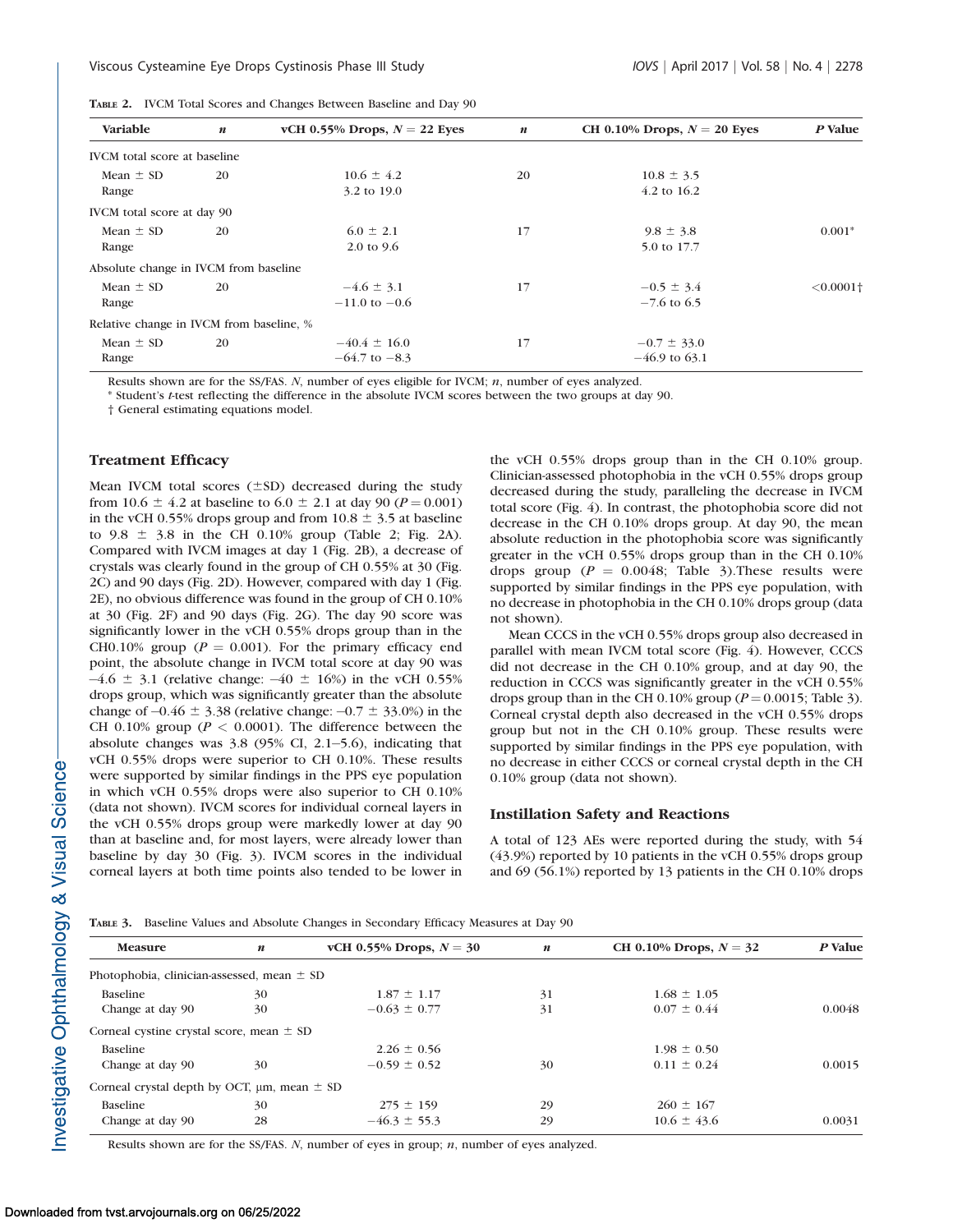| Variable                                 | $\boldsymbol{n}$ | vCH 0.55% Drops, $N = 22$ Eyes | $\boldsymbol{n}$ | CH 0.10% Drops, $N = 20$ Eyes | P Value                 |  |
|------------------------------------------|------------------|--------------------------------|------------------|-------------------------------|-------------------------|--|
| <b>IVCM</b> total score at baseline      |                  |                                |                  |                               |                         |  |
| Mean $\pm$ SD                            | 20               | $10.6 \pm 4.2$                 | 20               | $10.8 \pm 3.5$                |                         |  |
| Range                                    |                  | 3.2 to 19.0                    |                  | 4.2 to 16.2                   |                         |  |
| IVCM total score at day 90               |                  |                                |                  |                               |                         |  |
| Mean $\pm$ SD                            | 20               | $6.0 \pm 2.1$                  | 17               | $9.8 \pm 3.8$                 | $0.001*$                |  |
| Range                                    |                  | $2.0 \text{ to } 9.6$          |                  | 5.0 to 17.7                   |                         |  |
| Absolute change in IVCM from baseline    |                  |                                |                  |                               |                         |  |
| Mean $\pm$ SD                            | 20               | $-4.6 \pm 3.1$                 | 17               | $-0.5 \pm 3.4$                | $< 0.0001$ <sup>+</sup> |  |
| Range                                    |                  | $-11.0$ to $-0.6$              |                  | $-7.6$ to 6.5                 |                         |  |
| Relative change in IVCM from baseline, % |                  |                                |                  |                               |                         |  |
| Mean $\pm$ SD                            | 20               | $-40.4 \pm 16.0$               | 17               | $-0.7 \pm 33.0$               |                         |  |
| Range                                    |                  | $-64.7$ to $-8.3$              |                  | $-46.9$ to 63.1               |                         |  |

TABLE 2. IVCM Total Scores and Changes Between Baseline and Day 90

Results shown are for the SS/FAS.  $N$ , number of eyes eligible for IVCM;  $n$ , number of eyes analyzed.

\* Student's t-test reflecting the difference in the absolute IVCM scores between the two groups at day 90.

† General estimating equations model.

## Treatment Efficacy

Mean IVCM total scores  $(\pm SD)$  decreased during the study from 10.6  $\pm$  4.2 at baseline to 6.0  $\pm$  2.1 at day 90 (P = 0.001) in the vCH 0.55% drops group and from  $10.8 \pm 3.5$  at baseline to  $9.8 \pm 3.8$  in the CH 0.10% group (Table 2; Fig. 2A). Compared with IVCM images at day 1 (Fig. 2B), a decrease of crystals was clearly found in the group of CH 0.55% at 30 (Fig. 2C) and 90 days (Fig. 2D). However, compared with day 1 (Fig. 2E), no obvious difference was found in the group of CH 0.10% at 30 (Fig. 2F) and 90 days (Fig. 2G). The day 90 score was significantly lower in the vCH 0.55% drops group than in the CH0.10% group ( $P = 0.001$ ). For the primary efficacy end point, the absolute change in IVCM total score at day 90 was  $-4.6 \pm 3.1$  (relative change:  $-40 \pm 16\%$ ) in the vCH 0.55% drops group, which was significantly greater than the absolute change of  $-0.46 \pm 3.38$  (relative change:  $-0.7 \pm 33.0\%$ ) in the CH 0.10% group ( $P < 0.0001$ ). The difference between the absolute changes was 3.8 (95% CI, 2.1-5.6), indicating that vCH 0.55% drops were superior to CH 0.10%. These results were supported by similar findings in the PPS eye population in which vCH 0.55% drops were also superior to CH 0.10% (data not shown). IVCM scores for individual corneal layers in the vCH 0.55% drops group were markedly lower at day 90 than at baseline and, for most layers, were already lower than baseline by day 30 (Fig. 3). IVCM scores in the individual corneal layers at both time points also tended to be lower in

the vCH 0.55% drops group than in the CH 0.10% group. Clinician-assessed photophobia in the vCH 0.55% drops group decreased during the study, paralleling the decrease in IVCM total score (Fig. 4). In contrast, the photophobia score did not decrease in the CH 0.10% drops group. At day 90, the mean absolute reduction in the photophobia score was significantly greater in the vCH 0.55% drops group than in the CH 0.10% drops group ( $P = 0.0048$ ; Table 3). These results were supported by similar findings in the PPS eye population, with no decrease in photophobia in the CH 0.10% drops group (data not shown).

Mean CCCS in the vCH 0.55% drops group also decreased in parallel with mean IVCM total score (Fig. 4). However, CCCS did not decrease in the CH 0.10% group, and at day 90, the reduction in CCCS was significantly greater in the vCH 0.55% drops group than in the CH 0.10% group ( $P = 0.0015$ ; Table 3). Corneal crystal depth also decreased in the vCH 0.55% drops group but not in the CH 0.10% group. These results were supported by similar findings in the PPS eye population, with no decrease in either CCCS or corneal crystal depth in the CH 0.10% group (data not shown).

## Instillation Safety and Reactions

A total of 123 AEs were reported during the study, with 54 (43.9%) reported by 10 patients in the vCH 0.55% drops group and 69 (56.1%) reported by 13 patients in the CH 0.10% drops

TABLE 3. Baseline Values and Absolute Changes in Secondary Efficacy Measures at Day 90

| <b>Measure</b>                                       | $\boldsymbol{n}$ | vCH 0.55% Drops, $N = 30$ | $\boldsymbol{n}$ | CH 0.10% Drops, $N = 32$ | P Value |
|------------------------------------------------------|------------------|---------------------------|------------------|--------------------------|---------|
| Photophobia, clinician-assessed, mean $\pm$ SD       |                  |                           |                  |                          |         |
| <b>Baseline</b>                                      | 30               | $1.87 \pm 1.17$           | 31               | $1.68 \pm 1.05$          |         |
| Change at day 90                                     | 30               | $-0.63 \pm 0.77$          | 31               | $0.07 \pm 0.44$          | 0.0048  |
| Corneal cystine crystal score, mean $\pm$ SD         |                  |                           |                  |                          |         |
| <b>Baseline</b>                                      |                  | $2.26 \pm 0.56$           |                  | $1.98 \pm 0.50$          |         |
| Change at day 90                                     | 30               | $-0.59 \pm 0.52$          | 30               | $0.11 \pm 0.24$          | 0.0015  |
| Corneal crystal depth by OCT, $\mu$ m, mean $\pm$ SD |                  |                           |                  |                          |         |
| <b>Baseline</b>                                      | 30               | $275 \pm 159$             | 29               | $260 \pm 167$            |         |
| Change at day 90                                     | 28               | $-46.3 \pm 55.3$          | 29               | $10.6 \pm 43.6$          | 0.0031  |
|                                                      |                  |                           |                  |                          |         |

Results shown are for the SS/FAS.  $N$ , number of eyes in group;  $n$ , number of eyes analyzed.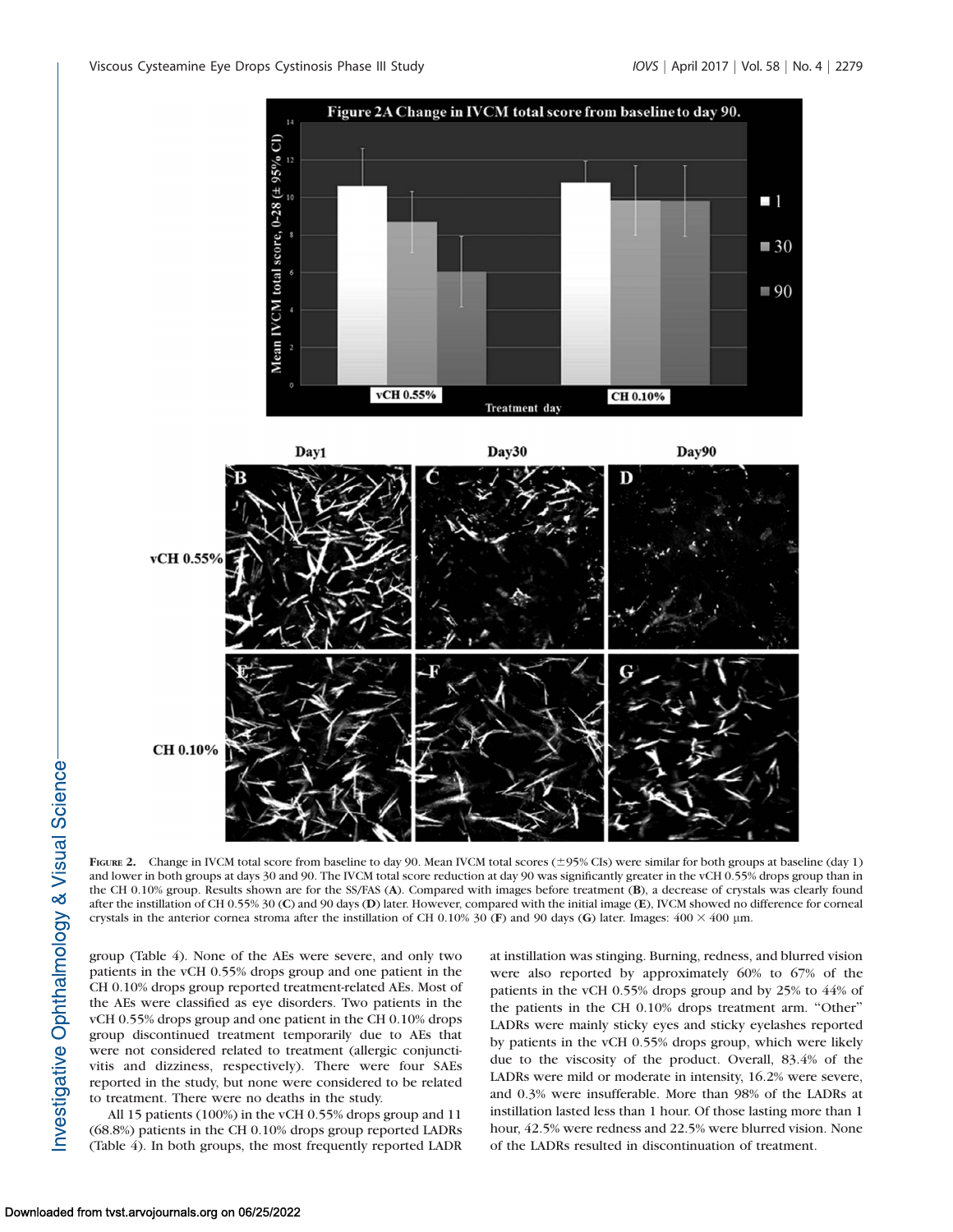

CH 0.10%

FIGURE 2. Change in IVCM total score from baseline to day 90. Mean IVCM total scores ( $\pm$ 95% CIs) were similar for both groups at baseline (day 1) and lower in both groups at days 30 and 90. The IVCM total score reduction at day 90 was significantly greater in the vCH 0.55% drops group than in the CH 0.10% group. Results shown are for the SS/FAS (A). Compared with images before treatment (B), a decrease of crystals was clearly found after the instillation of CH 0.55% 30 (C) and 90 days (D) later. However, compared with the initial image (E), IVCM showed no difference for corneal crystals in the anterior cornea stroma after the instillation of CH 0.10% 30 (F) and 90 days (G) later. Images:  $400 \times 400$  µm.

group (Table 4). None of the AEs were severe, and only two patients in the vCH 0.55% drops group and one patient in the CH 0.10% drops group reported treatment-related AEs. Most of the AEs were classified as eye disorders. Two patients in the vCH 0.55% drops group and one patient in the CH 0.10% drops group discontinued treatment temporarily due to AEs that were not considered related to treatment (allergic conjunctivitis and dizziness, respectively). There were four SAEs reported in the study, but none were considered to be related to treatment. There were no deaths in the study.

All 15 patients (100%) in the vCH 0.55% drops group and 11 (68.8%) patients in the CH 0.10% drops group reported LADRs (Table 4). In both groups, the most frequently reported LADR at instillation was stinging. Burning, redness, and blurred vision were also reported by approximately 60% to 67% of the patients in the vCH 0.55% drops group and by 25% to 44% of the patients in the CH 0.10% drops treatment arm. ''Other'' LADRs were mainly sticky eyes and sticky eyelashes reported by patients in the vCH 0.55% drops group, which were likely due to the viscosity of the product. Overall, 83.4% of the LADRs were mild or moderate in intensity, 16.2% were severe, and 0.3% were insufferable. More than 98% of the LADRs at instillation lasted less than 1 hour. Of those lasting more than 1 hour, 42.5% were redness and 22.5% were blurred vision. None of the LADRs resulted in discontinuation of treatment.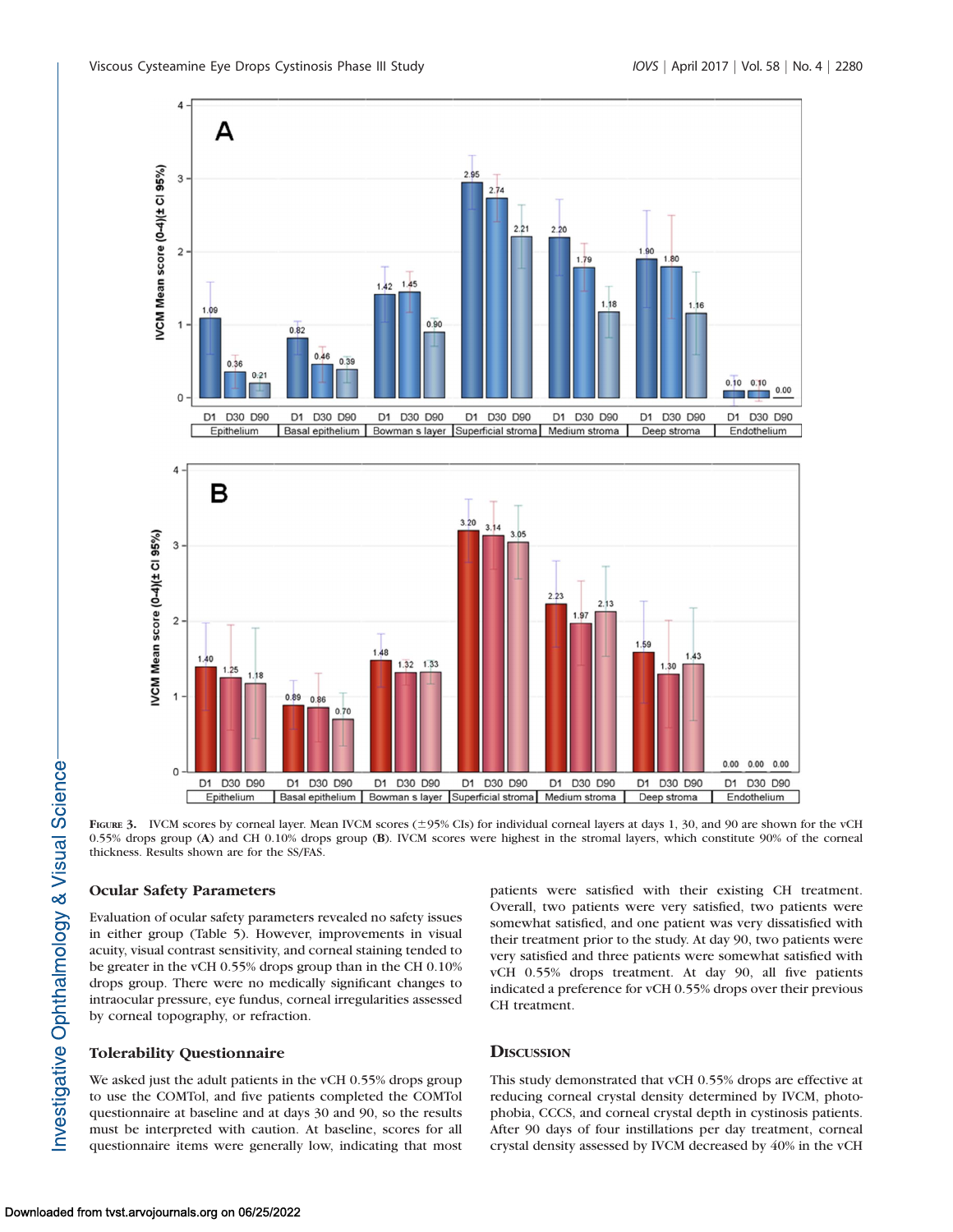

2.95

A

4

3

FIGURE 3. IVCM scores by corneal layer. Mean IVCM scores ( $\pm$ 95% CIs) for individual corneal layers at days 1, 30, and 90 are shown for the vCH 0.55% drops group (A) and CH 0.10% drops group (B). IVCM scores were highest in the stromal layers, which constitute 90% of the corneal thickness. Results shown are for the SS/FAS.

Basal epithelium | Bowman s layer | Superficial stroma | Medium stroma |

D1 D30 D90

D1 D30 D90

D1 D30 D90

# Ocular Safety Parameters

 $\circ$ 

D1 D30 D90

Epithelium

Evaluation of ocular safety parameters revealed no safety issues in either group (Table 5). However, improvements in visual acuity, visual contrast sensitivity, and corneal staining tended to be greater in the vCH 0.55% drops group than in the CH 0.10% drops group. There were no medically significant changes to intraocular pressure, eye fundus, corneal irregularities assessed by corneal topography, or refraction.

D1 D30 D90

## Tolerability Questionnaire

We asked just the adult patients in the vCH 0.55% drops group to use the COMTol, and five patients completed the COMTol questionnaire at baseline and at days 30 and 90, so the results must be interpreted with caution. At baseline, scores for all questionnaire items were generally low, indicating that most patients were satisfied with their existing CH treatment. Overall, two patients were very satisfied, two patients were somewhat satisfied, and one patient was very dissatisfied with their treatment prior to the study. At day 90, two patients were very satisfied and three patients were somewhat satisfied with vCH 0.55% drops treatment. At day 90, all five patients indicated a preference for vCH 0.55% drops over their previous CH treatment.

D1 D30 D90

Deep stroma

D1 D30 D90

Endothelium

# **DISCUSSION**

This study demonstrated that vCH 0.55% drops are effective at reducing corneal crystal density determined by IVCM, photophobia, CCCS, and corneal crystal depth in cystinosis patients. After 90 days of four instillations per day treatment, corneal crystal density assessed by IVCM decreased by 40% in the vCH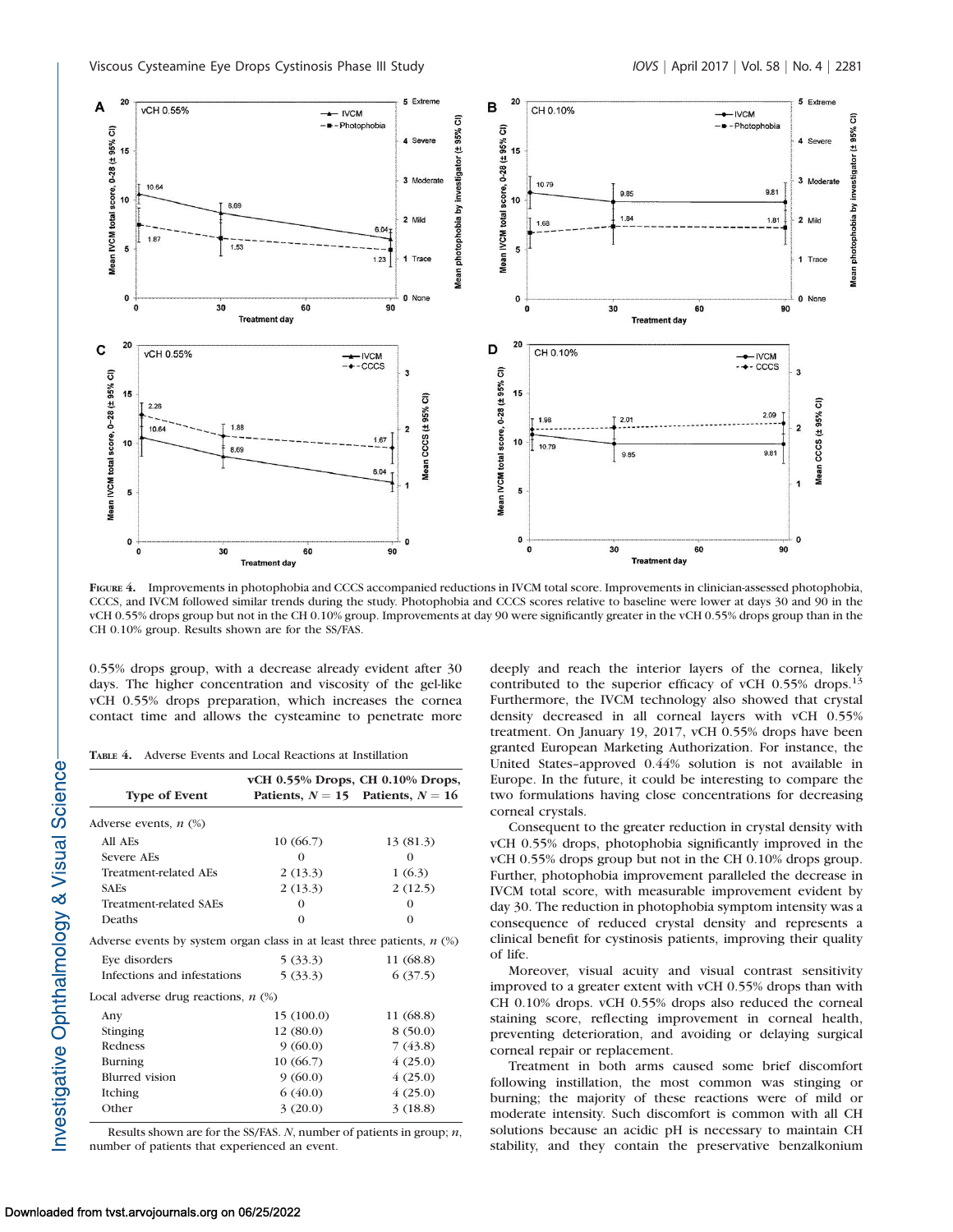

FIGURE 4. Improvements in photophobia and CCCS accompanied reductions in IVCM total score. Improvements in clinician-assessed photophobia, CCCS, and IVCM followed similar trends during the study. Photophobia and CCCS scores relative to baseline were lower at days 30 and 90 in the vCH 0.55% drops group but not in the CH 0.10% group. Improvements at day 90 were significantly greater in the vCH 0.55% drops group than in the CH 0.10% group. Results shown are for the SS/FAS.

0.55% drops group, with a decrease already evident after 30 days. The higher concentration and viscosity of the gel-like vCH 0.55% drops preparation, which increases the cornea contact time and allows the cysteamine to penetrate more

TABLE 4. Adverse Events and Local Reactions at Instillation

| vCH 0.55% Drops, CH 0.10% Drops,                                            |                                       |  |  |  |
|-----------------------------------------------------------------------------|---------------------------------------|--|--|--|
|                                                                             | Patients, $N = 15$ Patients, $N = 16$ |  |  |  |
|                                                                             |                                       |  |  |  |
| 10(66.7)                                                                    | 13 (81.3)                             |  |  |  |
| $\Omega$                                                                    | 0                                     |  |  |  |
| 2(13.3)                                                                     | 1(6.3)                                |  |  |  |
| 2(13.3)                                                                     | 2(12.5)                               |  |  |  |
| $\Omega$                                                                    | 0                                     |  |  |  |
| $\Omega$                                                                    | $\Omega$                              |  |  |  |
| Adverse events by system organ class in at least three patients, $n$ $(\%)$ |                                       |  |  |  |
| 5(33.3)                                                                     | 11 (68.8)                             |  |  |  |
| Infections and infestations<br>5(33.3)                                      | 6(37.5)                               |  |  |  |
| Local adverse drug reactions, $n$ (%)                                       |                                       |  |  |  |
| 15(100.0)                                                                   | 11 (68.8)                             |  |  |  |
| 12(80.0)                                                                    | 8(50.0)                               |  |  |  |
| 9(60.0)                                                                     | 7(43.8)                               |  |  |  |
| 10(66.7)                                                                    | 4(25.0)                               |  |  |  |
| 9(60.0)                                                                     | 4(25.0)                               |  |  |  |
| 6(40.0)                                                                     | 4(25.0)                               |  |  |  |
| 3(20.0)                                                                     | 3(18.8)                               |  |  |  |
|                                                                             |                                       |  |  |  |

Results shown are for the SS/FAS.  $N$ , number of patients in group;  $n$ , number of patients that experienced an event.

deeply and reach the interior layers of the cornea, likely contributed to the superior efficacy of vCH 0.55% drops.<sup>13</sup> Furthermore, the IVCM technology also showed that crystal density decreased in all corneal layers with vCH 0.55% treatment. On January 19, 2017, vCH 0.55% drops have been granted European Marketing Authorization. For instance, the United States–approved 0.44% solution is not available in Europe. In the future, it could be interesting to compare the two formulations having close concentrations for decreasing corneal crystals.

Consequent to the greater reduction in crystal density with vCH 0.55% drops, photophobia significantly improved in the vCH 0.55% drops group but not in the CH 0.10% drops group. Further, photophobia improvement paralleled the decrease in IVCM total score, with measurable improvement evident by day 30. The reduction in photophobia symptom intensity was a consequence of reduced crystal density and represents a clinical benefit for cystinosis patients, improving their quality of life.

Moreover, visual acuity and visual contrast sensitivity improved to a greater extent with vCH 0.55% drops than with CH 0.10% drops. vCH 0.55% drops also reduced the corneal staining score, reflecting improvement in corneal health, preventing deterioration, and avoiding or delaying surgical corneal repair or replacement.

Treatment in both arms caused some brief discomfort following instillation, the most common was stinging or burning; the majority of these reactions were of mild or moderate intensity. Such discomfort is common with all CH solutions because an acidic pH is necessary to maintain CH stability, and they contain the preservative benzalkonium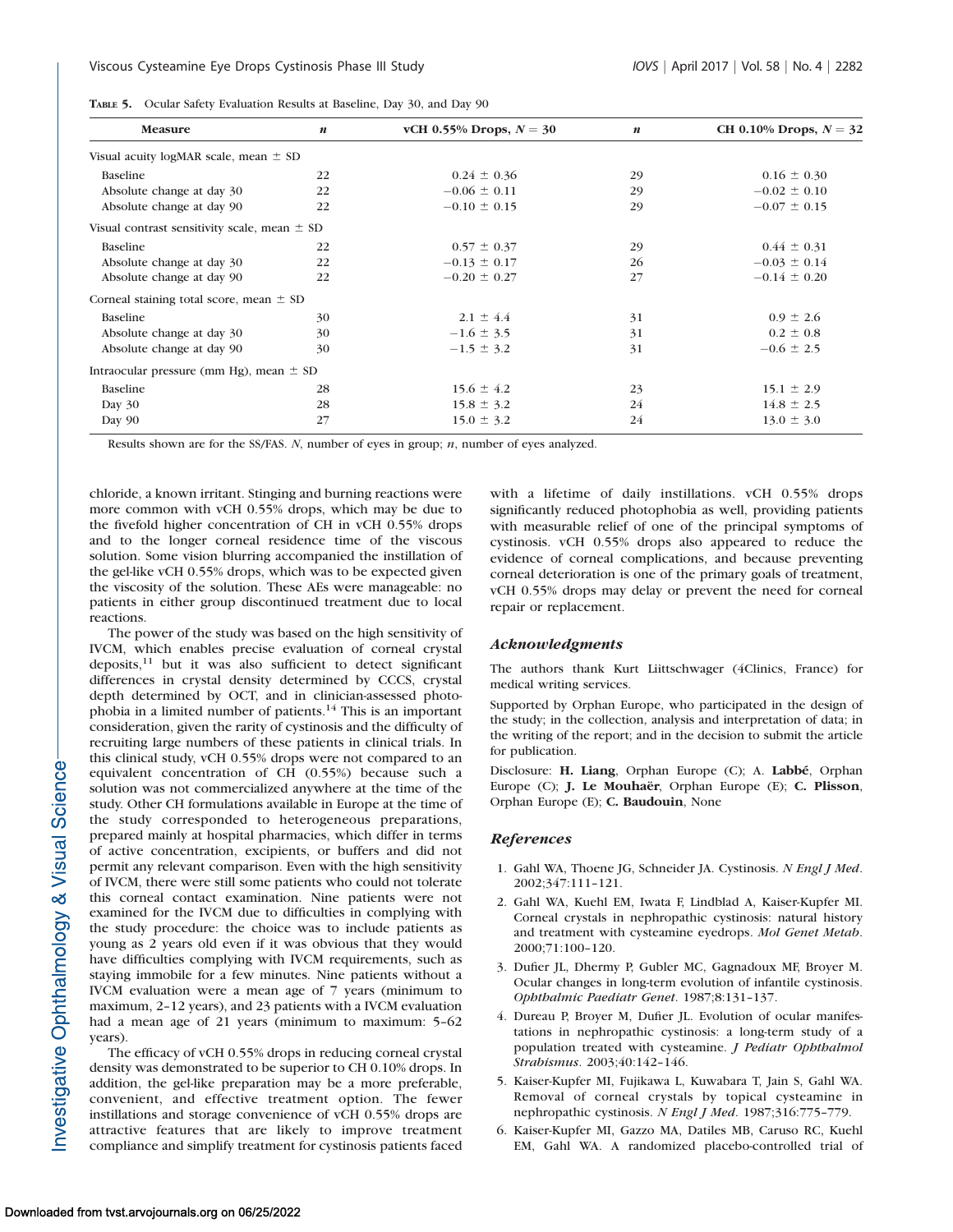|  | TABLE 5. Ocular Safety Evaluation Results at Baseline, Day 30, and Day 90 |  |  |  |  |  |  |
|--|---------------------------------------------------------------------------|--|--|--|--|--|--|
|--|---------------------------------------------------------------------------|--|--|--|--|--|--|

| <b>Measure</b>                                   | $\boldsymbol{n}$ | vCH 0.55% Drops, $N = 30$ | $\boldsymbol{n}$ | CH 0.10% Drops, $N = 32$ |
|--------------------------------------------------|------------------|---------------------------|------------------|--------------------------|
| Visual acuity logMAR scale, mean $\pm$ SD        |                  |                           |                  |                          |
| Baseline                                         | 22               | $0.24 \pm 0.36$           | 29               | $0.16 \pm 0.30$          |
| Absolute change at day 30                        | 22               | $-0.06 \pm 0.11$          | 29               | $-0.02 \pm 0.10$         |
| Absolute change at day 90                        | 22               | $-0.10 \pm 0.15$          | 29               | $-0.07 \pm 0.15$         |
| Visual contrast sensitivity scale, mean $\pm$ SD |                  |                           |                  |                          |
| Baseline                                         | 22               | $0.57 \pm 0.37$           | 29               | $0.44 \pm 0.31$          |
| Absolute change at day 30                        | 22               | $-0.13 \pm 0.17$          | 26               | $-0.03 \pm 0.14$         |
| Absolute change at day 90                        | 22               | $-0.20 \pm 0.27$          | 27               | $-0.14 \pm 0.20$         |
| Corneal staining total score, mean $\pm$ SD      |                  |                           |                  |                          |
| Baseline                                         | 30               | $2.1 \pm 4.4$             | 31               | $0.9 \pm 2.6$            |
| Absolute change at day 30                        | 30               | $-1.6 \pm 3.5$            | 31               | $0.2 \pm 0.8$            |
| Absolute change at day 90                        | 30               | $-1.5 \pm 3.2$            | 31               | $-0.6 \pm 2.5$           |
| Intraocular pressure (mm Hg), mean $\pm$ SD      |                  |                           |                  |                          |
| <b>Baseline</b>                                  | 28               | $15.6 \pm 4.2$            | 23               | $15.1 \pm 2.9$           |
| Day 30                                           | 28               | $15.8 \pm 3.2$            | 24               | $14.8 \pm 2.5$           |
| Day 90                                           | 27               | $15.0 \pm 3.2$            | 24               | $13.0 \pm 3.0$           |

Results shown are for the SS/FAS. N, number of eyes in group;  $n$ , number of eyes analyzed.

chloride, a known irritant. Stinging and burning reactions were more common with vCH 0.55% drops, which may be due to the fivefold higher concentration of CH in vCH 0.55% drops and to the longer corneal residence time of the viscous solution. Some vision blurring accompanied the instillation of the gel-like vCH 0.55% drops, which was to be expected given the viscosity of the solution. These AEs were manageable: no patients in either group discontinued treatment due to local reactions.

The power of the study was based on the high sensitivity of IVCM, which enables precise evaluation of corneal crystal deposits,<sup>11</sup> but it was also sufficient to detect significant differences in crystal density determined by CCCS, crystal depth determined by OCT, and in clinician-assessed photophobia in a limited number of patients.<sup>14</sup> This is an important consideration, given the rarity of cystinosis and the difficulty of recruiting large numbers of these patients in clinical trials. In this clinical study, vCH 0.55% drops were not compared to an equivalent concentration of CH (0.55%) because such a solution was not commercialized anywhere at the time of the study. Other CH formulations available in Europe at the time of the study corresponded to heterogeneous preparations, prepared mainly at hospital pharmacies, which differ in terms of active concentration, excipients, or buffers and did not permit any relevant comparison. Even with the high sensitivity of IVCM, there were still some patients who could not tolerate this corneal contact examination. Nine patients were not examined for the IVCM due to difficulties in complying with the study procedure: the choice was to include patients as young as 2 years old even if it was obvious that they would have difficulties complying with IVCM requirements, such as staying immobile for a few minutes. Nine patients without a IVCM evaluation were a mean age of 7 years (minimum to maximum, 2–12 years), and 23 patients with a IVCM evaluation had a mean age of 21 years (minimum to maximum: 5–62 years).

The efficacy of vCH 0.55% drops in reducing corneal crystal density was demonstrated to be superior to CH 0.10% drops. In addition, the gel-like preparation may be a more preferable, convenient, and effective treatment option. The fewer instillations and storage convenience of vCH 0.55% drops are attractive features that are likely to improve treatment compliance and simplify treatment for cystinosis patients faced

with a lifetime of daily instillations. vCH 0.55% drops significantly reduced photophobia as well, providing patients with measurable relief of one of the principal symptoms of cystinosis. vCH 0.55% drops also appeared to reduce the evidence of corneal complications, and because preventing corneal deterioration is one of the primary goals of treatment, vCH 0.55% drops may delay or prevent the need for corneal repair or replacement.

#### Acknowledgments

The authors thank Kurt Liittschwager (4Clinics, France) for medical writing services.

Supported by Orphan Europe, who participated in the design of the study; in the collection, analysis and interpretation of data; in the writing of the report; and in the decision to submit the article for publication.

Disclosure: H. Liang, Orphan Europe (C); A. Labbé, Orphan Europe (C); J. Le Mouhaër, Orphan Europe (E); C. Plisson, Orphan Europe (E); C. Baudouin, None

# **References**

- 1. Gahl WA, Thoene JG, Schneider JA. Cystinosis. N Engl J Med. 2002;347:111–121.
- 2. Gahl WA, Kuehl EM, Iwata F, Lindblad A, Kaiser-Kupfer MI. Corneal crystals in nephropathic cystinosis: natural history and treatment with cysteamine eyedrops. Mol Genet Metab. 2000;71:100–120.
- 3. Dufier JL, Dhermy P, Gubler MC, Gagnadoux MF, Broyer M. Ocular changes in long-term evolution of infantile cystinosis. Ophthalmic Paediatr Genet. 1987;8:131–137.
- 4. Dureau P, Broyer M, Dufier JL. Evolution of ocular manifestations in nephropathic cystinosis: a long-term study of a population treated with cysteamine. *J Pediatr Ophthalmol* Strabismus. 2003;40:142–146.
- 5. Kaiser-Kupfer MI, Fujikawa L, Kuwabara T, Jain S, Gahl WA. Removal of corneal crystals by topical cysteamine in nephropathic cystinosis. N Engl J Med. 1987;316:775-779.
- 6. Kaiser-Kupfer MI, Gazzo MA, Datiles MB, Caruso RC, Kuehl EM, Gahl WA. A randomized placebo-controlled trial of